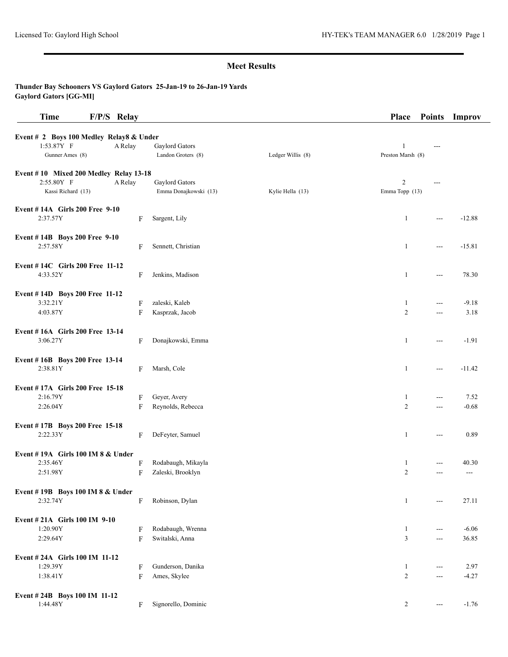| <b>Time</b>                              | F/P/S Relay |                       |                   | Place             | <b>Points</b>          | Improv   |
|------------------------------------------|-------------|-----------------------|-------------------|-------------------|------------------------|----------|
| Event # 2 Boys 100 Medley Relay8 & Under |             |                       |                   |                   |                        |          |
| 1:53.87Y F                               | A Relay     | Gaylord Gators        |                   | -1                | ---                    |          |
| Gunner Ames (8)                          |             | Landon Groters (8)    | Ledger Willis (8) | Preston Marsh (8) |                        |          |
|                                          |             |                       |                   |                   |                        |          |
| Event #10 Mixed 200 Medley Relay 13-18   |             |                       |                   |                   |                        |          |
| 2:55.80Y F                               | A Relay     | Gaylord Gators        |                   | 2                 |                        |          |
| Kassi Richard (13)                       |             | Emma Donajkowski (13) | Kylie Hella (13)  | Emma Topp (13)    |                        |          |
| <b>Event #14A Girls 200 Free 9-10</b>    |             |                       |                   |                   |                        |          |
| 2:37.57Y                                 | F           | Sargent, Lily         |                   | $\mathbf{1}$      | $\overline{a}$         | $-12.88$ |
|                                          |             |                       |                   |                   |                        |          |
| Event #14B Boys 200 Free 9-10            |             |                       |                   |                   |                        |          |
| 2:57.58Y                                 | F           | Sennett, Christian    |                   | 1                 | $--$                   | $-15.81$ |
| Event #14C Girls 200 Free 11-12          |             |                       |                   |                   |                        |          |
| 4:33.52Y                                 | F           | Jenkins, Madison      |                   | $\mathbf{1}$      | $\overline{a}$         | 78.30    |
|                                          |             |                       |                   |                   |                        |          |
| Event #14D Boys 200 Free 11-12           |             |                       |                   |                   |                        |          |
| 3:32.21Y                                 | F           | zaleski, Kaleb        |                   | $\mathbf{1}$      | $--$                   | $-9.18$  |
| 4:03.87Y                                 | F           | Kasprzak, Jacob       |                   | $\overline{c}$    | $\overline{a}$         | 3.18     |
| Event #16A Girls 200 Free 13-14          |             |                       |                   |                   |                        |          |
| 3:06.27Y                                 | F           | Donajkowski, Emma     |                   | 1                 | $\overline{a}$         | $-1.91$  |
|                                          |             |                       |                   |                   |                        |          |
| Event #16B Boys 200 Free 13-14           |             |                       |                   |                   |                        |          |
| 2:38.81Y                                 | F           | Marsh, Cole           |                   | $\mathbf{1}$      | ---                    | $-11.42$ |
| Event #17A Girls 200 Free 15-18          |             |                       |                   |                   |                        |          |
| 2:16.79Y                                 | F           | Geyer, Avery          |                   | 1                 | ---                    | 7.52     |
| 2:26.04Y                                 | F           | Reynolds, Rebecca     |                   | $\overline{c}$    | $\overline{a}$         | $-0.68$  |
|                                          |             |                       |                   |                   |                        |          |
| Event #17B Boys 200 Free 15-18           |             |                       |                   |                   |                        |          |
| 2:22.33Y                                 | F           | DeFeyter, Samuel      |                   | 1                 | ---                    | 0.89     |
| Event #19A Girls 100 IM 8 & Under        |             |                       |                   |                   |                        |          |
| 2:35.46Y                                 | F           | Rodabaugh, Mikayla    |                   | 1                 | $---$                  | 40.30    |
| 2:51.98Y                                 | F           | Zaleski, Brooklyn     |                   | 2                 | $\overline{a}$         | $---$    |
|                                          |             |                       |                   |                   |                        |          |
| Event #19B Boys 100 IM 8 & Under         |             |                       |                   |                   |                        |          |
| 2:32.74Y                                 | F           | Robinson, Dylan       |                   | $\mathbf{1}$      | $--$                   | 27.11    |
| Event #21A Girls 100 IM 9-10             |             |                       |                   |                   |                        |          |
| 1:20.90Y                                 | F           | Rodabaugh, Wrenna     |                   | $\mathbf{1}$      | $\cdots$               | $-6.06$  |
| 2:29.64Y                                 | F           | Switalski, Anna       |                   | 3                 | $\overline{a}$         | 36.85    |
|                                          |             |                       |                   |                   |                        |          |
| Event #24A Girls 100 IM 11-12            |             |                       |                   |                   |                        |          |
| 1:29.39Y                                 | F           | Gunderson, Danika     |                   | $\mathbf{1}$      | $--$                   | 2.97     |
| 1:38.41Y                                 | F           | Ames, Skylee          |                   | $\overline{c}$    | $\sim$ $\sim$          | $-4.27$  |
| Event #24B Boys 100 IM 11-12             |             |                       |                   |                   |                        |          |
| 1:44.48Y                                 | F           | Signorello, Dominic   |                   | $\overline{c}$    | $\qquad \qquad \cdots$ | $-1.76$  |
|                                          |             |                       |                   |                   |                        |          |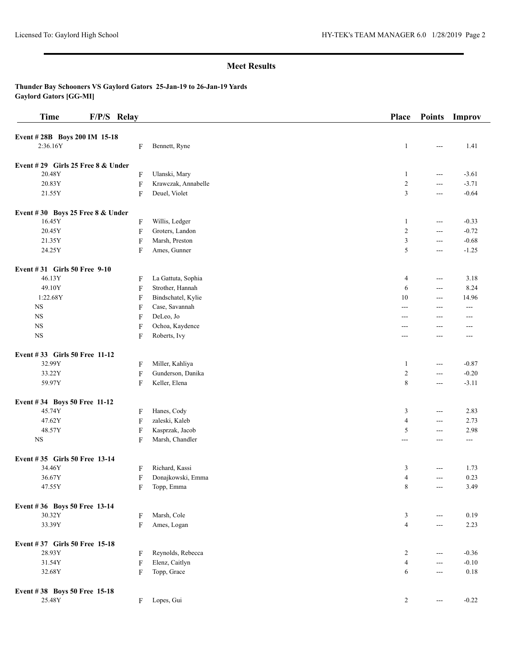| <b>Time</b>                         | F/P/S Relay               |                     | Place            | <b>Points</b>            | Improv  |
|-------------------------------------|---------------------------|---------------------|------------------|--------------------------|---------|
| Event #28B Boys 200 IM 15-18        |                           |                     |                  |                          |         |
| 2:36.16Y                            | F                         | Bennett, Ryne       | 1                | $\frac{1}{2}$            | 1.41    |
| Event #29 Girls 25 Free $8 &$ Under |                           |                     |                  |                          |         |
| 20.48Y                              | F                         | Ulanski, Mary       | $\mathbf{1}$     | $ -$                     | $-3.61$ |
| 20.83Y                              | $\boldsymbol{\mathrm{F}}$ | Krawczak, Annabelle | $\boldsymbol{2}$ | $ -$                     | $-3.71$ |
| 21.55Y                              | F                         | Deuel, Violet       | 3                | ---                      | $-0.64$ |
| Event #30 Boys 25 Free 8 & Under    |                           |                     |                  |                          |         |
| 16.45Y                              | F                         | Willis, Ledger      | $\mathbf{1}$     | $ -$                     | $-0.33$ |
| 20.45Y                              | $\rm F$                   | Groters, Landon     | $\overline{c}$   | $ -$                     | $-0.72$ |
| 21.35Y                              | ${\bf F}$                 | Marsh, Preston      | 3                | $ -$                     | $-0.68$ |
| 24.25Y                              | F                         | Ames, Gunner        | 5                | $ -$                     | $-1.25$ |
| Event #31 Girls 50 Free 9-10        |                           |                     |                  |                          |         |
| 46.13Y                              | F                         | La Gattuta, Sophia  | 4                | $ -$                     | 3.18    |
| 49.10Y                              | F                         | Strother, Hannah    | 6                | ---                      | 8.24    |
| 1:22.68Y                            | F                         | Bindschatel, Kylie  | 10               | $---$                    | 14.96   |
| $_{\rm NS}$                         | F                         | Case, Savannah      | $---$            | $---$                    | $---$   |
| <b>NS</b>                           | F                         | DeLeo, Jo           | $---$            | ---                      | ---     |
| $_{\rm NS}$                         | F                         | Ochoa, Kaydence     | ---              | ---                      | ---     |
| <b>NS</b>                           | F                         | Roberts, Ivy        | ---              | ---                      | ---     |
| Event #33 Girls 50 Free 11-12       |                           |                     |                  |                          |         |
| 32.99Y                              | F                         | Miller, Kahliya     | 1                | $\sim$ $\sim$            | $-0.87$ |
| 33.22Y                              | F                         | Gunderson, Danika   | $\sqrt{2}$       | $ -$                     | $-0.20$ |
| 59.97Y                              | F                         | Keller, Elena       | 8                | $---$                    | $-3.11$ |
| Event #34 Boys 50 Free 11-12        |                           |                     |                  |                          |         |
| 45.74Y                              | F                         | Hanes, Cody         | 3                | $\overline{a}$           | 2.83    |
| 47.62Y                              | F                         | zaleski, Kaleb      | $\overline{4}$   | $ -$                     | 2.73    |
| 48.57Y                              | ${\bf F}$                 | Kasprzak, Jacob     | 5                | $---$                    | 2.98    |
| $_{\rm NS}$                         | F                         | Marsh, Chandler     | $---$            | ---                      | ---     |
| Event #35 Girls 50 Free 13-14       |                           |                     |                  |                          |         |
| 34.46Y                              | F                         | Richard, Kassi      | 3                | ---                      | 1.73    |
| 36.67Y                              | F                         | Donajkowski, Emma   | $\overline{4}$   | $ -$                     | 0.23    |
| 47.55Y                              | F                         | Topp, Emma          | 8                | ---                      | 3.49    |
| Event #36 Boys 50 Free 13-14        |                           |                     |                  |                          |         |
| 30.32Y                              | F                         | Marsh, Cole         | 3                | $ -$                     | 0.19    |
| 33.39Y                              | F                         | Ames, Logan         | $\overline{4}$   | $\overline{\phantom{a}}$ | 2.23    |
| Event #37 Girls 50 Free 15-18       |                           |                     |                  |                          |         |
| 28.93Y                              | F                         | Reynolds, Rebecca   | $\overline{c}$   | $\sim$ $\sim$            | $-0.36$ |
| 31.54Y                              | $\rm F$                   | Elenz, Caitlyn      | $\overline{4}$   | $\sim$ $\sim$            | $-0.10$ |
| 32.68Y                              | F                         | Topp, Grace         | 6                | $\sim$ $\sim$            | 0.18    |
| Event #38 Boys 50 Free 15-18        |                           |                     |                  |                          |         |
| 25.48Y                              | F                         | Lopes, Gui          | $\overline{c}$   | $\qquad \qquad - -$      | $-0.22$ |
|                                     |                           |                     |                  |                          |         |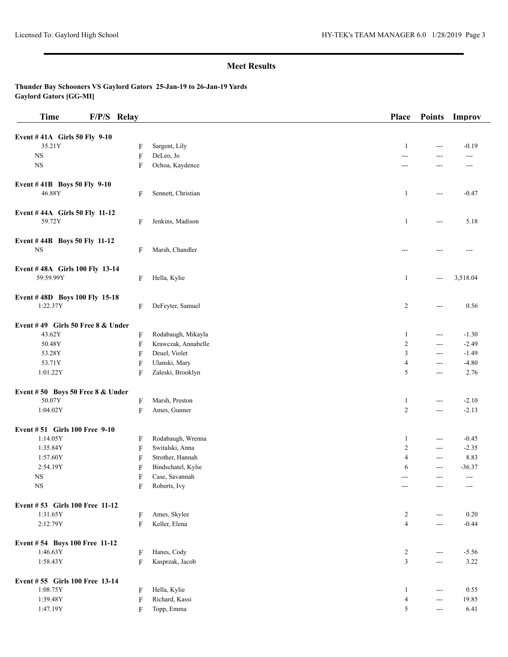| <b>Time</b>                               | F/P/S Relay |                     | Place            | <b>Points</b>            | Improv                   |
|-------------------------------------------|-------------|---------------------|------------------|--------------------------|--------------------------|
|                                           |             |                     |                  |                          |                          |
| Event #41A Girls 50 Fly 9-10<br>35.21Y    | F           | Sargent, Lily       | $\mathbf{1}$     | ---                      | $-0.19$                  |
| <b>NS</b>                                 | F           | DeLeo, Jo           | $---$            | ---                      | ---                      |
| <b>NS</b>                                 | F           | Ochoa, Kaydence     | ---              | ---                      | $---$                    |
|                                           |             |                     |                  |                          |                          |
| Event #41B Boys 50 Fly 9-10               |             |                     |                  |                          |                          |
| 46.88Y                                    | F           | Sennett, Christian  | $\mathbf{1}$     | $ -$                     | $-0.47$                  |
| Event #44A Girls 50 Fly 11-12             |             |                     |                  |                          |                          |
| 59.72Y                                    | F           | Jenkins, Madison    | 1                | $\hspace{0.05cm} \ldots$ | 5.18                     |
|                                           |             |                     |                  |                          |                          |
| Event #44B Boys 50 Fly 11-12<br><b>NS</b> |             | Marsh, Chandler     |                  |                          |                          |
|                                           | F           |                     |                  |                          | ---                      |
| Event #48A Girls 100 Fly 13-14            |             |                     |                  |                          |                          |
| 59:59.99Y                                 | F           | Hella, Kylie        | $\mathbf{1}$     | $---$                    | 3,518.04                 |
| Event #48D Boys 100 Fly 15-18             |             |                     |                  |                          |                          |
| 1:22.37Y                                  | F           | DeFeyter, Samuel    | 2                | $--$                     | 0.56                     |
|                                           |             |                     |                  |                          |                          |
| Event #49 Girls 50 Free 8 & Under         |             |                     |                  |                          |                          |
| 43.62Y                                    | ${\bf F}$   | Rodabaugh, Mikayla  | $\mathbf{1}$     | $\sim$ $\sim$            | $-1.30$                  |
| 50.48Y                                    | F           | Krawczak, Annabelle | $\boldsymbol{2}$ | ---                      | $-2.49$                  |
| 53.28Y                                    | F           | Deuel, Violet       | 3                | $---$                    | $-1.49$                  |
| 53.71Y                                    | F           | Ulanski, Mary       | $\overline{4}$   | ---                      | $-4.80$                  |
| 1:01.22Y                                  | F           | Zaleski, Brooklyn   | 5                | ---                      | 2.76                     |
| Event #50 Boys 50 Free 8 & Under          |             |                     |                  |                          |                          |
| 50.07Y                                    | F           | Marsh, Preston      | $\mathbf{1}$     | ---                      | $-2.10$                  |
| 1:04.02Y                                  | F           | Ames, Gunner        | $\overline{c}$   | $\sim$ $\sim$            | $-2.13$                  |
| Event #51 Girls 100 Free 9-10             |             |                     |                  |                          |                          |
| 1:14.05Y                                  | F           | Rodabaugh, Wrenna   | 1                | $\sim$ $\sim$            | $-0.45$                  |
| 1:35.84Y                                  | F           | Switalski, Anna     | $\boldsymbol{2}$ | $---$                    | $-2.35$                  |
| 1:57.60Y                                  | F           | Strother, Hannah    | $\overline{4}$   | $--$                     | 8.83                     |
| 2:54.19Y                                  | F           | Bindschatel, Kylie  | 6                | $\overline{a}$           | $-36.37$                 |
| <b>NS</b>                                 |             | Case, Savannah      |                  | ---                      |                          |
| $_{\rm NS}$                               | F<br>F      | Roberts, Ivy        | $---$            | ---                      | $\qquad \qquad -$<br>--- |
|                                           |             |                     |                  |                          |                          |
| Event #53 Girls 100 Free 11-12            |             |                     |                  |                          |                          |
| 1:31.65Y                                  | F           | Ames, Skylee        | 2                | $---$                    | 0.20                     |
| 2:12.79Y                                  | F           | Keller, Elena       | $\overline{4}$   | $ -$                     | $-0.44$                  |
| Event #54 Boys 100 Free 11-12             |             |                     |                  |                          |                          |
| 1:46.63Y                                  | F           | Hanes, Cody         | $\overline{c}$   | $\qquad \qquad -$        | $-5.56$                  |
| 1:58.43Y                                  | F           | Kasprzak, Jacob     | 3                | $\sim$ $\sim$            | 3.22                     |
| Event #55 Girls 100 Free 13-14            |             |                     |                  |                          |                          |
| 1:08.75Y                                  | F           | Hella, Kylie        | 1                | $\hspace{0.05cm} \ldots$ | 0.55                     |
| 1:39.48Y                                  | F           | Richard, Kassi      | 4                | $\sim$ $\sim$            | 19.85                    |
| 1:47.19Y                                  | F           | Topp, Emma          | 5                | $--$                     | 6.41                     |
|                                           |             |                     |                  |                          |                          |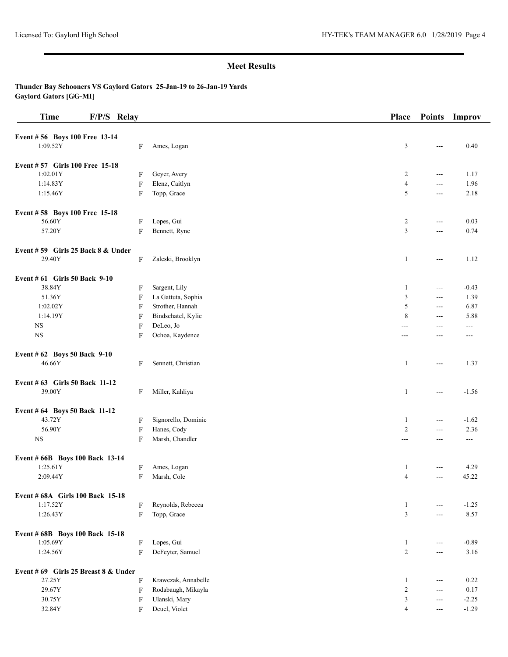| <b>Time</b>                          | F/P/S Relay |                           |                     | Place          | <b>Points</b>  | Improv  |
|--------------------------------------|-------------|---------------------------|---------------------|----------------|----------------|---------|
| Event #56 Boys 100 Free 13-14        |             |                           |                     |                |                |         |
| 1:09.52Y                             |             | F                         | Ames, Logan         | 3              | $\frac{1}{2}$  | 0.40    |
| Event #57 Girls 100 Free 15-18       |             |                           |                     |                |                |         |
| 1:02.01Y                             |             | F                         | Geyer, Avery        | $\overline{2}$ | $\overline{a}$ | 1.17    |
| 1:14.83Y                             |             | F                         | Elenz, Caitlyn      | $\overline{4}$ | $\sim$ $\sim$  | 1.96    |
| 1:15.46Y                             |             | F                         | Topp, Grace         | 5              | $\sim$ $\sim$  | 2.18    |
| Event #58 Boys 100 Free 15-18        |             |                           |                     |                |                |         |
| 56.60Y                               |             | F                         | Lopes, Gui          | 2              | $- - -$        | 0.03    |
| 57.20Y                               |             | $\boldsymbol{\mathrm{F}}$ | Bennett, Ryne       | 3              | $---$          | 0.74    |
| Event $# 59$ Girls 25 Back 8 & Under |             |                           |                     |                |                |         |
| 29.40Y                               |             | F                         | Zaleski, Brooklyn   | $\mathbf{1}$   | $---$          | 1.12    |
| Event # 61 Girls 50 Back 9-10        |             |                           |                     |                |                |         |
| 38.84Y                               |             | F                         | Sargent, Lily       | -1             | $- - -$        | $-0.43$ |
| 51.36Y                               |             | F                         | La Gattuta, Sophia  | 3              | $\sim$ $\sim$  | 1.39    |
| 1:02.02Y                             |             | F                         | Strother, Hannah    | 5              | $\sim$ $\sim$  | 6.87    |
| 1:14.19Y                             |             | F                         | Bindschatel, Kylie  | 8              | $- - -$        | 5.88    |
| <b>NS</b>                            |             | F                         | DeLeo, Jo           | ---            | $---$          | $---$   |
| $_{\rm NS}$                          |             | F                         | Ochoa, Kaydence     | ---            | $---$          | ---     |
| Event # 62 Boys 50 Back 9-10         |             |                           |                     |                |                |         |
| 46.66Y                               |             | F                         | Sennett, Christian  | $\mathbf{1}$   | $\overline{a}$ | 1.37    |
| Event # 63 Girls 50 Back 11-12       |             |                           |                     |                |                |         |
| 39.00Y                               |             | F                         | Miller, Kahliya     | -1             | $\frac{1}{2}$  | $-1.56$ |
| Event # 64 Boys 50 Back 11-12        |             |                           |                     |                |                |         |
| 43.72Y                               |             | F                         | Signorello, Dominic | -1             | $\sim$ $\sim$  | $-1.62$ |
| 56.90Y                               |             | $\boldsymbol{\mathrm{F}}$ | Hanes, Cody         | $\overline{2}$ | $\overline{a}$ | 2.36    |
| <b>NS</b>                            |             | F                         | Marsh, Chandler     | ---            | ---            | ---     |
| Event # 66B Boys 100 Back 13-14      |             |                           |                     |                |                |         |
| 1:25.61Y                             |             | F                         | Ames, Logan         | -1             |                | 4.29    |
| 2:09.44Y                             |             | F                         | Marsh, Cole         | $\overline{4}$ | $\overline{a}$ | 45.22   |
| Event # 68A Girls 100 Back 15-18     |             |                           |                     |                |                |         |
| 1:17.52Y                             |             | F                         | Reynolds, Rebecca   | $\mathbf{1}$   | $---$          | $-1.25$ |
| 1:26.43Y                             |             | $\boldsymbol{\mathrm{F}}$ | Topp, Grace         | 3              | $---$          | 8.57    |
| Event # 68B Boys 100 Back 15-18      |             |                           |                     |                |                |         |
| 1:05.69Y                             |             | F                         | Lopes, Gui          | $\mathbf{1}$   | $---$          | $-0.89$ |
| 1:24.56Y                             |             | F                         | DeFeyter, Samuel    | $\overline{2}$ | $\sim$ $\sim$  | 3.16    |
| Event #69 Girls 25 Breast 8 & Under  |             |                           |                     |                |                |         |
| 27.25Y                               |             | F                         | Krawczak, Annabelle | $\mathbf{1}$   | $---$          | 0.22    |
| 29.67Y                               |             | F                         | Rodabaugh, Mikayla  | 2              | $- - -$        | 0.17    |
| 30.75Y                               |             | F                         | Ulanski, Mary       | 3              | $\frac{1}{2}$  | $-2.25$ |
| 32.84Y                               |             | F                         | Deuel, Violet       | 4              | $--$           | $-1.29$ |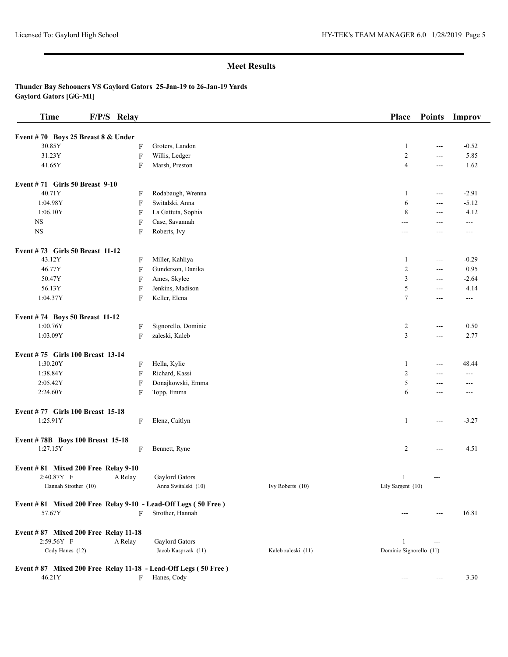| <b>Time</b>                          | F/P/S Relay |                                                                                   |                    | Place                   | <b>Points</b>            | Improv         |
|--------------------------------------|-------------|-----------------------------------------------------------------------------------|--------------------|-------------------------|--------------------------|----------------|
| Event #70 Boys 25 Breast 8 & Under   |             |                                                                                   |                    |                         |                          |                |
| 30.85Y                               | F           | Groters, Landon                                                                   |                    | $\mathbf{1}$            | ---                      | $-0.52$        |
| 31.23Y                               | F           | Willis, Ledger                                                                    |                    | $\overline{2}$          | ---                      | 5.85           |
| 41.65Y                               | F           | Marsh, Preston                                                                    |                    | $\overline{4}$          | ---                      | 1.62           |
| Event #71 Girls 50 Breast 9-10       |             |                                                                                   |                    |                         |                          |                |
| 40.71Y                               | F           | Rodabaugh, Wrenna                                                                 |                    | 1                       | $ -$                     | $-2.91$        |
| 1:04.98Y                             | F           | Switalski, Anna                                                                   |                    | 6                       | $ -$                     | $-5.12$        |
| 1:06.10Y                             | F           | La Gattuta, Sophia                                                                |                    | $\,$ 8 $\,$             | ---                      | 4.12           |
| $_{\rm NS}$                          | F           | Case, Savannah                                                                    |                    | ---                     | ---                      | ---            |
| NS                                   | F           | Roberts, Ivy                                                                      |                    | $---$                   | ---                      | ---            |
| Event #73 Girls 50 Breast 11-12      |             |                                                                                   |                    |                         |                          |                |
| 43.12Y                               | F           | Miller, Kahliya                                                                   |                    | 1                       | $\overline{\phantom{a}}$ | $-0.29$        |
| 46.77Y                               | F           | Gunderson, Danika                                                                 |                    | $\overline{2}$          | ---                      | 0.95           |
| 50.47Y                               | F           | Ames, Skylee                                                                      |                    | 3                       | ---                      | $-2.64$        |
| 56.13Y                               | F           | Jenkins, Madison                                                                  |                    | 5                       | $\overline{a}$           | 4.14           |
| 1:04.37Y                             | F           | Keller, Elena                                                                     |                    | $\tau$                  | ---                      | $\overline{a}$ |
| Event #74 Boys 50 Breast 11-12       |             |                                                                                   |                    |                         |                          |                |
| 1:00.76Y                             | F           | Signorello, Dominic                                                               |                    | $\overline{c}$          | ---                      | 0.50           |
| 1:03.09Y                             | F           | zaleski, Kaleb                                                                    |                    | 3                       | $\sim$ $\sim$            | 2.77           |
| Event #75 Girls 100 Breast 13-14     |             |                                                                                   |                    |                         |                          |                |
| 1:30.20Y                             | F           | Hella, Kylie                                                                      |                    | 1                       | ---                      | 48.44          |
| 1:38.84Y                             | F           | Richard, Kassi                                                                    |                    | $\boldsymbol{2}$        | ---                      | ---            |
| 2:05.42Y                             | F           | Donajkowski, Emma                                                                 |                    | 5                       | ---                      | ---            |
| 2:24.60Y                             | F           | Topp, Emma                                                                        |                    | 6                       | ---                      | ---            |
| Event #77 Girls 100 Breast 15-18     |             |                                                                                   |                    |                         |                          |                |
| 1:25.91Y                             | F           | Elenz, Caitlyn                                                                    |                    | 1                       | ---                      | $-3.27$        |
| Event #78B Boys 100 Breast 15-18     |             |                                                                                   |                    |                         |                          |                |
| 1:27.15Y                             | F           | Bennett, Ryne                                                                     |                    | $\overline{c}$          | $\sim$ $\sim$            | 4.51           |
| Event #81 Mixed 200 Free Relay 9-10  |             |                                                                                   |                    |                         |                          |                |
| 2:40.87Y F                           | A Relay     | Gaylord Gators                                                                    |                    | $\mathbf{1}$            | $---$                    |                |
| Hannah Strother (10)                 |             | Anna Switalski (10)                                                               | Ivy Roberts (10)   | Lily Sargent (10)       |                          |                |
| 57.67Y                               | F           | Event #81 Mixed 200 Free Relay 9-10 - Lead-Off Legs (50 Free)<br>Strother, Hannah |                    | ---                     | ---                      | 16.81          |
| Event #87 Mixed 200 Free Relay 11-18 |             |                                                                                   |                    |                         |                          |                |
| 2:59.56Y F                           | A Relay     | Gaylord Gators                                                                    |                    | -1                      | ---                      |                |
| Cody Hanes (12)                      |             | Jacob Kasprzak (11)                                                               | Kaleb zaleski (11) | Dominic Signorello (11) |                          |                |
|                                      |             | Event #87 Mixed 200 Free Relay 11-18 - Lead-Off Legs (50 Free)                    |                    |                         |                          |                |
| 46.21Y                               | F           | Hanes, Cody                                                                       |                    | ---                     | ---                      | 3.30           |